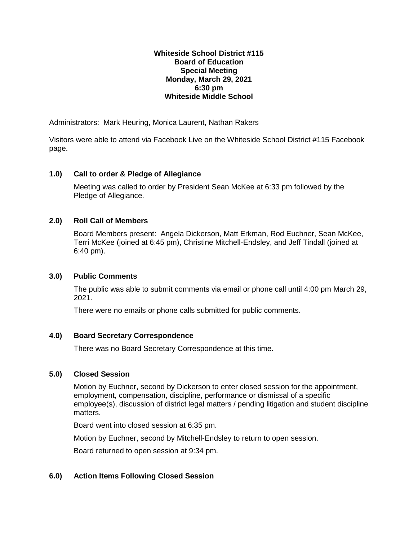### **Whiteside School District #115 Board of Education Special Meeting Monday, March 29, 2021 6:30 pm Whiteside Middle School**

Administrators: Mark Heuring, Monica Laurent, Nathan Rakers

Visitors were able to attend via Facebook Live on the Whiteside School District #115 Facebook page.

# **1.0) Call to order & Pledge of Allegiance**

Meeting was called to order by President Sean McKee at 6:33 pm followed by the Pledge of Allegiance.

## **2.0) Roll Call of Members**

Board Members present: Angela Dickerson, Matt Erkman, Rod Euchner, Sean McKee, Terri McKee (joined at 6:45 pm), Christine Mitchell-Endsley, and Jeff Tindall (joined at 6:40 pm).

## **3.0) Public Comments**

The public was able to submit comments via email or phone call until 4:00 pm March 29, 2021.

There were no emails or phone calls submitted for public comments.

## **4.0) Board Secretary Correspondence**

There was no Board Secretary Correspondence at this time.

## **5.0) Closed Session**

Motion by Euchner, second by Dickerson to enter closed session for the appointment, employment, compensation, discipline, performance or dismissal of a specific employee(s), discussion of district legal matters / pending litigation and student discipline matters.

Board went into closed session at 6:35 pm.

Motion by Euchner, second by Mitchell-Endsley to return to open session.

Board returned to open session at 9:34 pm.

## **6.0) Action Items Following Closed Session**